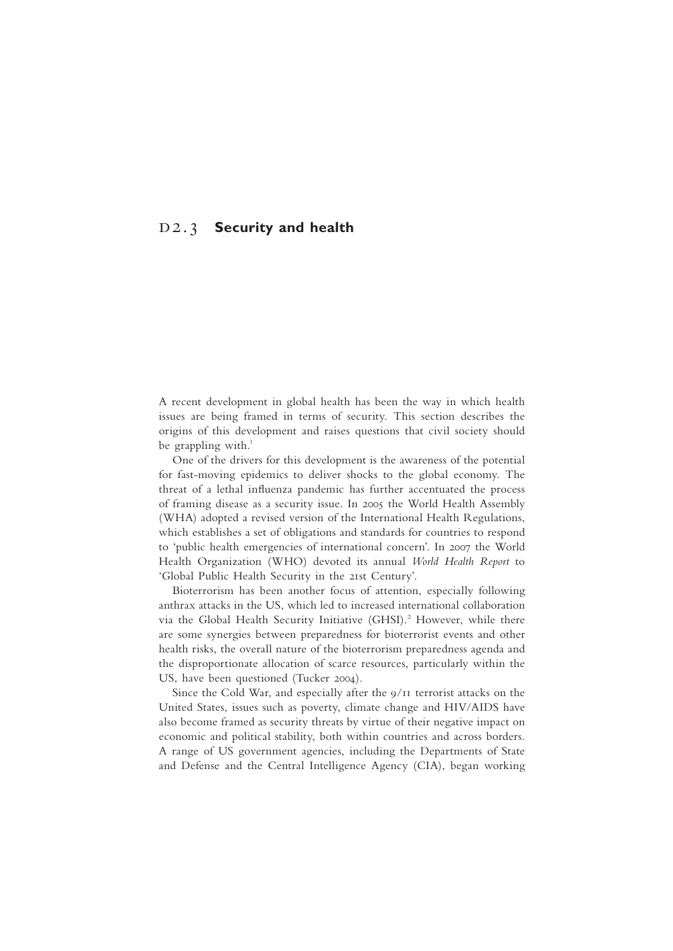# D2.3 Security and health

A recent development in global health has been the way in which health issues are being framed in terms of security. This section describes the origins of this development and raises questions that civil society should be grappling with.<sup>1</sup>

One of the drivers for this development is the awareness of the potential for fast-moving epidemics to deliver shocks to the global economy. The threat of a lethal influenza pandemic has further accentuated the process of framing disease as a security issue. In 2005 the World Health Assembly (WHA) adopted a revised version of the International Health Regulations, which establishes a set of obligations and standards for countries to respond to 'public health emergencies of international concern'. In 2007 the World Health Organization (WHO) devoted its annual *World Health Report* to 'Global Public Health Security in the 21st Century'.

Bioterrorism has been another focus of attention, especially following anthrax attacks in the US, which led to increased international collaboration via the Global Health Security Initiative (GHSI).<sup>2</sup> However, while there are some synergies between preparedness for bioterrorist events and other health risks, the overall nature of the bioterrorism preparedness agenda and the disproportionate allocation of scarce resources, particularly within the US, have been questioned (Tucker 2004).

Since the Cold War, and especially after the  $9/11$  terrorist attacks on the United States, issues such as poverty, climate change and HIV/AIDS have also become framed as security threats by virtue of their negative impact on economic and political stability, both within countries and across borders. A range of US government agencies, including the Departments of State and Defense and the Central Intelligence Agency (CIA), began working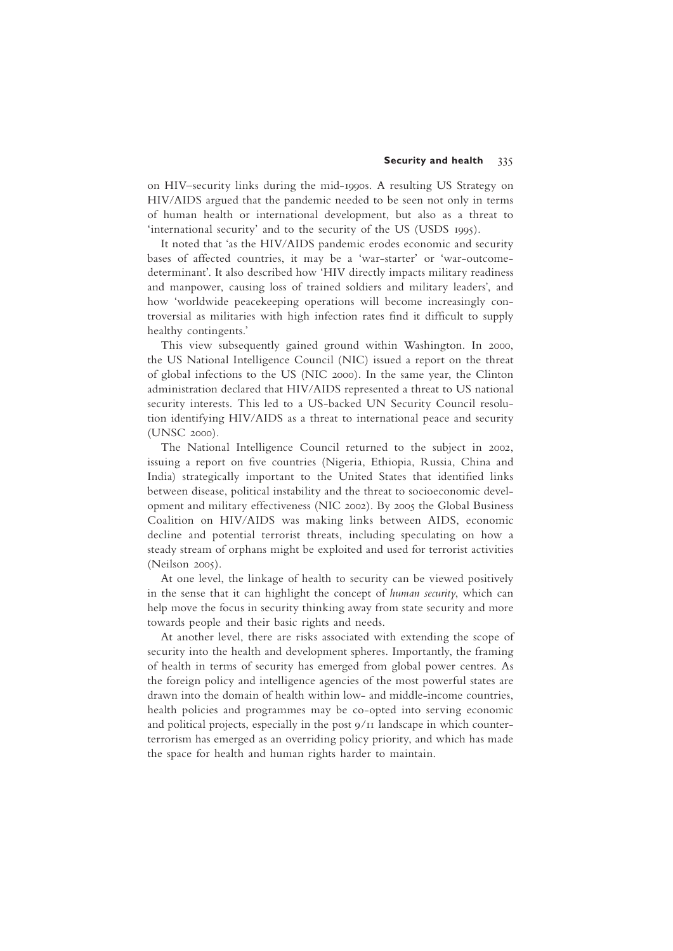on HIV–security links during the mid-1990s. A resulting US Strategy on HIV/AIDS argued that the pandemic needed to be seen not only in terms of human health or international development, but also as a threat to 'international security' and to the security of the US (USDS 1995).

It noted that 'as the HIV/AIDS pandemic erodes economic and security bases of affected countries, it may be a 'war-starter' or 'war-outcomedeterminant'. It also described how 'HIV directly impacts military readiness and manpower, causing loss of trained soldiers and military leaders', and how 'worldwide peacekeeping operations will become increasingly controversial as militaries with high infection rates find it difficult to supply healthy contingents.'

This view subsequently gained ground within Washington. In 2000, the US National Intelligence Council (NIC) issued a report on the threat of global infections to the US (NIC 2000). In the same year, the Clinton administration declared that HIV/AIDS represented a threat to US national security interests. This led to a US-backed UN Security Council resolution identifying HIV/AIDS as a threat to international peace and security (UNSC 2000).

The National Intelligence Council returned to the subject in 2002, issuing a report on five countries (Nigeria, Ethiopia, Russia, China and India) strategically important to the United States that identified links between disease, political instability and the threat to socioeconomic development and military effectiveness (NIC 2002). By 2005 the Global Business Coalition on HIV/AIDS was making links between AIDS, economic decline and potential terrorist threats, including speculating on how a steady stream of orphans might be exploited and used for terrorist activities  $(Neilson 2005)$ .

At one level, the linkage of health to security can be viewed positively in the sense that it can highlight the concept of *human security*, which can help move the focus in security thinking away from state security and more towards people and their basic rights and needs.

At another level, there are risks associated with extending the scope of security into the health and development spheres. Importantly, the framing of health in terms of security has emerged from global power centres. As the foreign policy and intelligence agencies of the most powerful states are drawn into the domain of health within low- and middle-income countries, health policies and programmes may be co-opted into serving economic and political projects, especially in the post  $9/11$  landscape in which counterterrorism has emerged as an overriding policy priority, and which has made the space for health and human rights harder to maintain.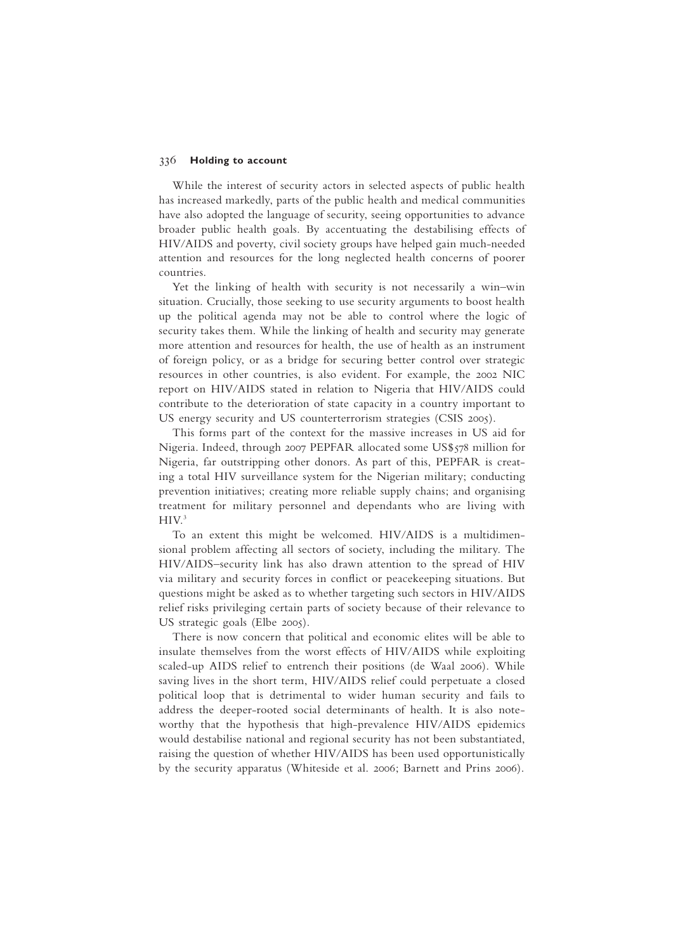# **Holding to account**

While the interest of security actors in selected aspects of public health has increased markedly, parts of the public health and medical communities have also adopted the language of security, seeing opportunities to advance broader public health goals. By accentuating the destabilising effects of HIV/AIDS and poverty, civil society groups have helped gain much-needed attention and resources for the long neglected health concerns of poorer countries.

Yet the linking of health with security is not necessarily a win–win situation. Crucially, those seeking to use security arguments to boost health up the political agenda may not be able to control where the logic of security takes them. While the linking of health and security may generate more attention and resources for health, the use of health as an instrument of foreign policy, or as a bridge for securing better control over strategic resources in other countries, is also evident. For example, the 2002 NIC report on HIV/AIDS stated in relation to Nigeria that HIV/AIDS could contribute to the deterioration of state capacity in a country important to US energy security and US counterterrorism strategies (CSIS 2005).

This forms part of the context for the massive increases in US aid for Nigeria. Indeed, through 2007 PEPFAR allocated some US\$578 million for Nigeria, far outstripping other donors. As part of this, PEPFAR is creating a total HIV surveillance system for the Nigerian military; conducting prevention initiatives; creating more reliable supply chains; and organising treatment for military personnel and dependants who are living with  $HIV.<sup>3</sup>$ 

To an extent this might be welcomed. HIV/AIDS is a multidimensional problem affecting all sectors of society, including the military. The HIV/AIDS–security link has also drawn attention to the spread of HIV via military and security forces in conflict or peacekeeping situations. But questions might be asked as to whether targeting such sectors in HIV/AIDS relief risks privileging certain parts of society because of their relevance to US strategic goals (Elbe 2005).

There is now concern that political and economic elites will be able to insulate themselves from the worst effects of HIV/AIDS while exploiting scaled-up AIDS relief to entrench their positions (de Waal 2006). While saving lives in the short term, HIV/AIDS relief could perpetuate a closed political loop that is detrimental to wider human security and fails to address the deeper-rooted social determinants of health. It is also noteworthy that the hypothesis that high-prevalence HIV/AIDS epidemics would destabilise national and regional security has not been substantiated, raising the question of whether HIV/AIDS has been used opportunistically by the security apparatus (Whiteside et al. 2006; Barnett and Prins 2006).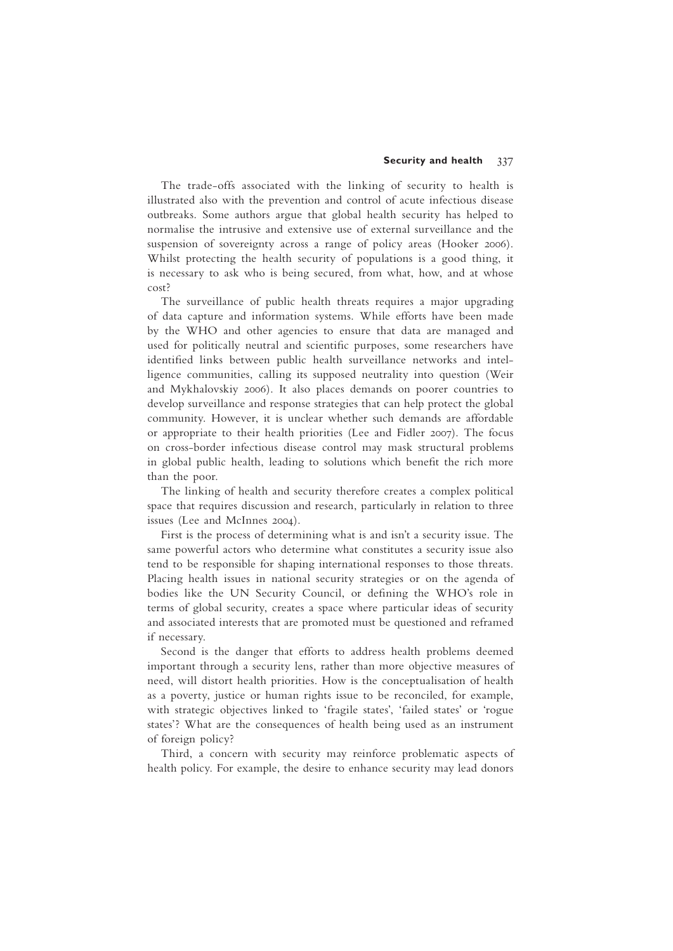## **Security and health**

The trade-offs associated with the linking of security to health is illustrated also with the prevention and control of acute infectious disease outbreaks. Some authors argue that global health security has helped to normalise the intrusive and extensive use of external surveillance and the suspension of sovereignty across a range of policy areas (Hooker 2006). Whilst protecting the health security of populations is a good thing, it is necessary to ask who is being secured, from what, how, and at whose cost?

The surveillance of public health threats requires a major upgrading of data capture and information systems. While efforts have been made by the WHO and other agencies to ensure that data are managed and used for politically neutral and scientific purposes, some researchers have identified links between public health surveillance networks and intelligence communities, calling its supposed neutrality into question (Weir and Mykhalovskiy 2006). It also places demands on poorer countries to develop surveillance and response strategies that can help protect the global community. However, it is unclear whether such demands are affordable or appropriate to their health priorities (Lee and Fidler 2007). The focus on cross-border infectious disease control may mask structural problems in global public health, leading to solutions which benefit the rich more than the poor.

The linking of health and security therefore creates a complex political space that requires discussion and research, particularly in relation to three issues (Lee and McInnes 2004).

First is the process of determining what is and isn't a security issue. The same powerful actors who determine what constitutes a security issue also tend to be responsible for shaping international responses to those threats. Placing health issues in national security strategies or on the agenda of bodies like the UN Security Council, or defining the WHO's role in terms of global security, creates a space where particular ideas of security and associated interests that are promoted must be questioned and reframed if necessary.

Second is the danger that efforts to address health problems deemed important through a security lens, rather than more objective measures of need, will distort health priorities. How is the conceptualisation of health as a poverty, justice or human rights issue to be reconciled, for example, with strategic objectives linked to 'fragile states', 'failed states' or 'rogue states'? What are the consequences of health being used as an instrument of foreign policy?

Third, a concern with security may reinforce problematic aspects of health policy. For example, the desire to enhance security may lead donors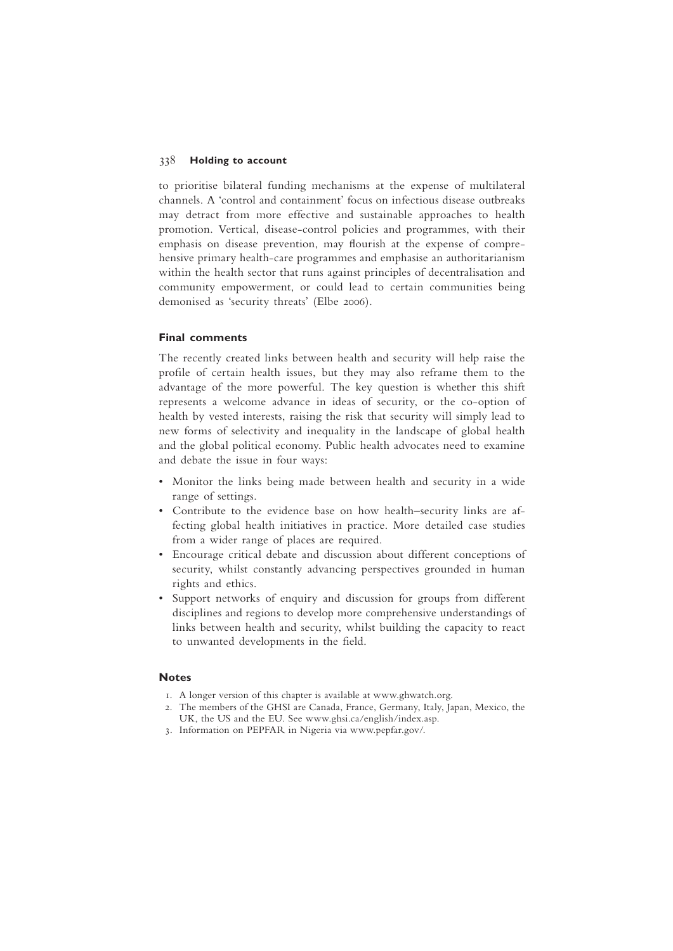#### **Holding to account**

to prioritise bilateral funding mechanisms at the expense of multilateral channels. A 'control and containment' focus on infectious disease outbreaks may detract from more effective and sustainable approaches to health promotion. Vertical, disease-control policies and programmes, with their emphasis on disease prevention, may flourish at the expense of comprehensive primary health-care programmes and emphasise an authoritarianism within the health sector that runs against principles of decentralisation and community empowerment, or could lead to certain communities being demonised as 'security threats' (Elbe 2006).

## **Final comments**

The recently created links between health and security will help raise the profile of certain health issues, but they may also reframe them to the advantage of the more powerful. The key question is whether this shift represents a welcome advance in ideas of security, or the co-option of health by vested interests, raising the risk that security will simply lead to new forms of selectivity and inequality in the landscape of global health and the global political economy. Public health advocates need to examine and debate the issue in four ways:

- Monitor the links being made between health and security in a wide range of settings.
- Contribute to the evidence base on how health–security links are affecting global health initiatives in practice. More detailed case studies from a wider range of places are required.
- Encourage critical debate and discussion about different conceptions of security, whilst constantly advancing perspectives grounded in human rights and ethics.
- Support networks of enquiry and discussion for groups from different disciplines and regions to develop more comprehensive understandings of links between health and security, whilst building the capacity to react to unwanted developments in the field.

## **Notes**

- . A longer version of this chapter is available at www.ghwatch.org.
- . The members of the GHSI are Canada, France, Germany, Italy, Japan, Mexico, the UK, the US and the EU. See www.ghsi.ca/english/index.asp.
- . Information on PEPFAR in Nigeria via www.pepfar.gov/.